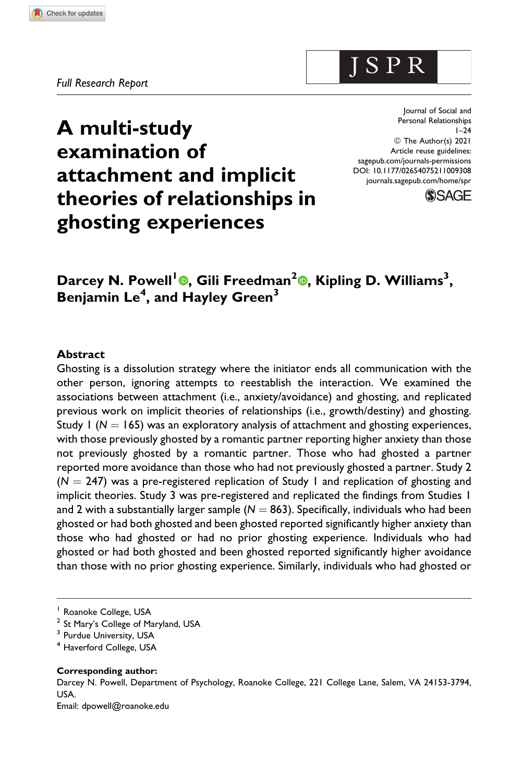Journal of Social and Personal Relationships  $1 - 24$ © The Author(s) 2021 Article reuse guidelines: [sagepub.com/journals-permissions](https://sagepub.com/journals-permissions) [DOI: 10.1177/02654075211009308](https://doi.org/10.1177/02654075211009308) [journals.sagepub.com/home/spr](http://journals.sagepub.com/home/spr)

J S P R



# **A multi-study examination of attachment and implicit theories of relationships in ghosting experiences**

**Darcey N. Powell<sup>1</sup> [,](https://orcid.org/0000-0001-6076-9741) Gili Freedman<sup>2</sup> [,](https://orcid.org/0000-0002-7006-9674) Kipling D. Williams<sup>3</sup> , Benjamin Le<sup>4</sup> , and Hayley Green<sup>3</sup>**

#### **Abstract**

Ghosting is a dissolution strategy where the initiator ends all communication with the other person, ignoring attempts to reestablish the interaction. We examined the associations between attachment (i.e., anxiety/avoidance) and ghosting, and replicated previous work on implicit theories of relationships (i.e., growth/destiny) and ghosting. Study 1 ( $N = 165$ ) was an exploratory analysis of attachment and ghosting experiences, with those previously ghosted by a romantic partner reporting higher anxiety than those not previously ghosted by a romantic partner. Those who had ghosted a partner reported more avoidance than those who had not previously ghosted a partner. Study 2  $(N = 247)$  was a pre-registered replication of Study 1 and replication of ghosting and implicit theories. Study 3 was pre-registered and replicated the findings from Studies 1 and 2 with a substantially larger sample  $(N = 863)$ . Specifically, individuals who had been ghosted or had both ghosted and been ghosted reported significantly higher anxiety than those who had ghosted or had no prior ghosting experience. Individuals who had ghosted or had both ghosted and been ghosted reported significantly higher avoidance than those with no prior ghosting experience. Similarly, individuals who had ghosted or

#### **Corresponding author:**

Darcey N. Powell, Department of Psychology, Roanoke College, 221 College Lane, Salem, VA 24153-3794, USA.

Email: [dpowell@roanoke.edu](mailto:dpowell@roanoke.edu)

<sup>&</sup>lt;sup>1</sup> Roanoke College, USA

<sup>&</sup>lt;sup>2</sup> St Mary's College of Maryland, USA

<sup>&</sup>lt;sup>3</sup> Purdue University, USA

<sup>4</sup> Haverford College, USA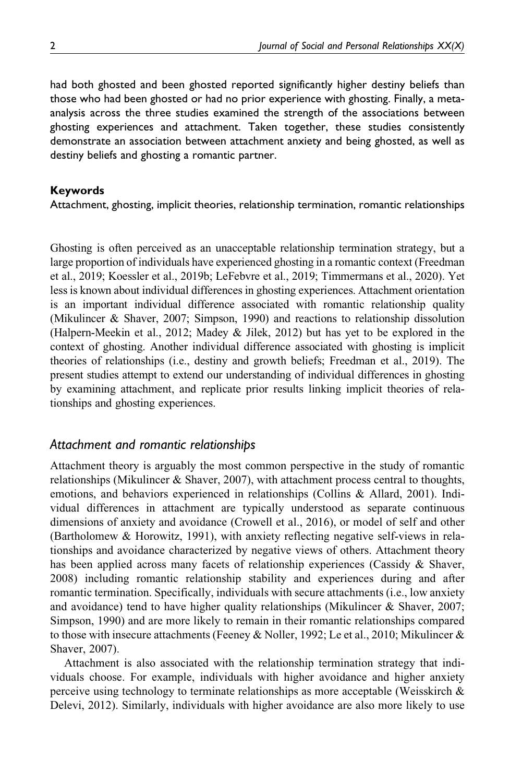had both ghosted and been ghosted reported significantly higher destiny beliefs than those who had been ghosted or had no prior experience with ghosting. Finally, a metaanalysis across the three studies examined the strength of the associations between ghosting experiences and attachment. Taken together, these studies consistently demonstrate an association between attachment anxiety and being ghosted, as well as destiny beliefs and ghosting a romantic partner.

#### **Keywords**

Attachment, ghosting, implicit theories, relationship termination, romantic relationships

Ghosting is often perceived as an unacceptable relationship termination strategy, but a large proportion of individuals have experienced ghosting in a romantic context (Freedman et al., 2019; Koessler et al., 2019b; LeFebvre et al., 2019; Timmermans et al., 2020). Yet less is known about individual differences in ghosting experiences. Attachment orientation is an important individual difference associated with romantic relationship quality (Mikulincer & Shaver, 2007; Simpson, 1990) and reactions to relationship dissolution (Halpern-Meekin et al., 2012; Madey & Jilek, 2012) but has yet to be explored in the context of ghosting. Another individual difference associated with ghosting is implicit theories of relationships (i.e., destiny and growth beliefs; Freedman et al., 2019). The present studies attempt to extend our understanding of individual differences in ghosting by examining attachment, and replicate prior results linking implicit theories of relationships and ghosting experiences.

### *Attachment and romantic relationships*

Attachment theory is arguably the most common perspective in the study of romantic relationships (Mikulincer  $\&$  Shaver, 2007), with attachment process central to thoughts, emotions, and behaviors experienced in relationships (Collins & Allard, 2001). Individual differences in attachment are typically understood as separate continuous dimensions of anxiety and avoidance (Crowell et al., 2016), or model of self and other (Bartholomew & Horowitz, 1991), with anxiety reflecting negative self-views in relationships and avoidance characterized by negative views of others. Attachment theory has been applied across many facets of relationship experiences (Cassidy & Shaver, 2008) including romantic relationship stability and experiences during and after romantic termination. Specifically, individuals with secure attachments (i.e., low anxiety and avoidance) tend to have higher quality relationships (Mikulincer & Shaver, 2007; Simpson, 1990) and are more likely to remain in their romantic relationships compared to those with insecure attachments (Feeney & Noller, 1992; Le et al., 2010; Mikulincer & Shaver, 2007).

Attachment is also associated with the relationship termination strategy that individuals choose. For example, individuals with higher avoidance and higher anxiety perceive using technology to terminate relationships as more acceptable (Weisskirch  $\&$ Delevi, 2012). Similarly, individuals with higher avoidance are also more likely to use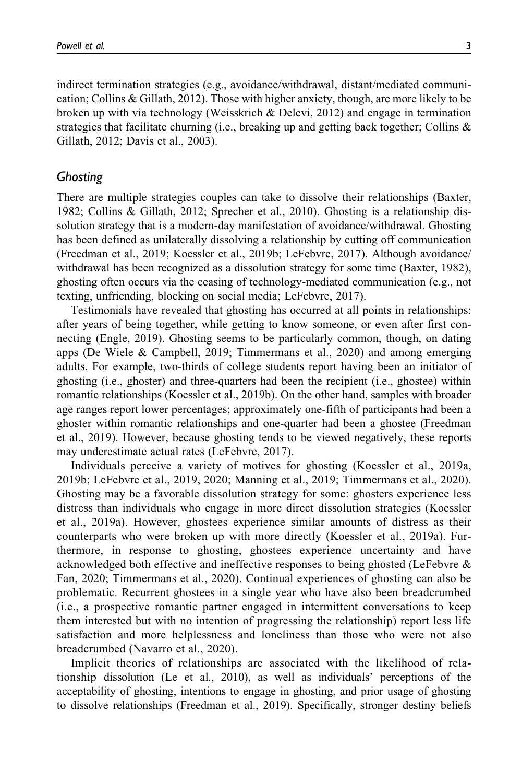indirect termination strategies (e.g., avoidance/withdrawal, distant/mediated communication; Collins & Gillath, 2012). Those with higher anxiety, though, are more likely to be broken up with via technology (Weisskrich & Delevi, 2012) and engage in termination strategies that facilitate churning (i.e., breaking up and getting back together; Collins & Gillath, 2012; Davis et al., 2003).

#### *Ghosting*

There are multiple strategies couples can take to dissolve their relationships (Baxter, 1982; Collins & Gillath, 2012; Sprecher et al., 2010). Ghosting is a relationship dissolution strategy that is a modern-day manifestation of avoidance/withdrawal. Ghosting has been defined as unilaterally dissolving a relationship by cutting off communication (Freedman et al., 2019; Koessler et al., 2019b; LeFebvre, 2017). Although avoidance/ withdrawal has been recognized as a dissolution strategy for some time (Baxter, 1982), ghosting often occurs via the ceasing of technology-mediated communication (e.g., not texting, unfriending, blocking on social media; LeFebvre, 2017).

Testimonials have revealed that ghosting has occurred at all points in relationships: after years of being together, while getting to know someone, or even after first connecting (Engle, 2019). Ghosting seems to be particularly common, though, on dating apps (De Wiele & Campbell, 2019; Timmermans et al., 2020) and among emerging adults. For example, two-thirds of college students report having been an initiator of ghosting (i.e., ghoster) and three-quarters had been the recipient (i.e., ghostee) within romantic relationships (Koessler et al., 2019b). On the other hand, samples with broader age ranges report lower percentages; approximately one-fifth of participants had been a ghoster within romantic relationships and one-quarter had been a ghostee (Freedman et al., 2019). However, because ghosting tends to be viewed negatively, these reports may underestimate actual rates (LeFebvre, 2017).

Individuals perceive a variety of motives for ghosting (Koessler et al., 2019a, 2019b; LeFebvre et al., 2019, 2020; Manning et al., 2019; Timmermans et al., 2020). Ghosting may be a favorable dissolution strategy for some: ghosters experience less distress than individuals who engage in more direct dissolution strategies (Koessler et al., 2019a). However, ghostees experience similar amounts of distress as their counterparts who were broken up with more directly (Koessler et al., 2019a). Furthermore, in response to ghosting, ghostees experience uncertainty and have acknowledged both effective and ineffective responses to being ghosted (LeFebvre & Fan, 2020; Timmermans et al., 2020). Continual experiences of ghosting can also be problematic. Recurrent ghostees in a single year who have also been breadcrumbed (i.e., a prospective romantic partner engaged in intermittent conversations to keep them interested but with no intention of progressing the relationship) report less life satisfaction and more helplessness and loneliness than those who were not also breadcrumbed (Navarro et al., 2020).

Implicit theories of relationships are associated with the likelihood of relationship dissolution (Le et al., 2010), as well as individuals' perceptions of the acceptability of ghosting, intentions to engage in ghosting, and prior usage of ghosting to dissolve relationships (Freedman et al., 2019). Specifically, stronger destiny beliefs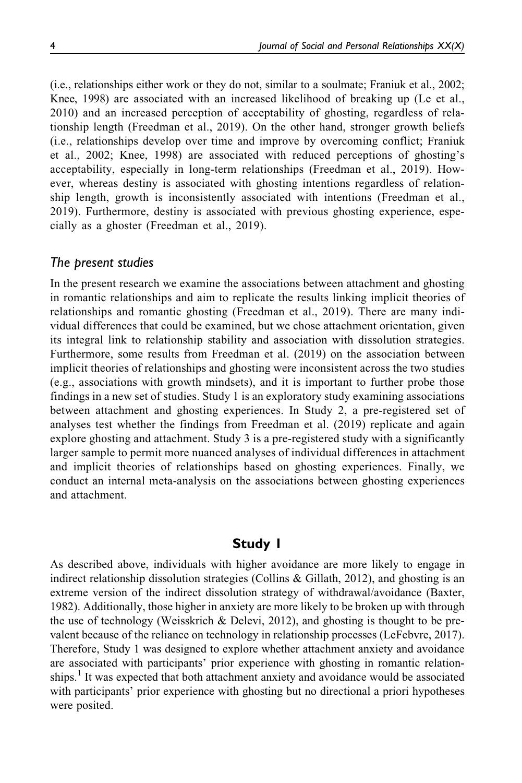(i.e., relationships either work or they do not, similar to a soulmate; Franiuk et al., 2002; Knee, 1998) are associated with an increased likelihood of breaking up (Le et al., 2010) and an increased perception of acceptability of ghosting, regardless of relationship length (Freedman et al., 2019). On the other hand, stronger growth beliefs (i.e., relationships develop over time and improve by overcoming conflict; Franiuk et al., 2002; Knee, 1998) are associated with reduced perceptions of ghosting's acceptability, especially in long-term relationships (Freedman et al., 2019). However, whereas destiny is associated with ghosting intentions regardless of relationship length, growth is inconsistently associated with intentions (Freedman et al., 2019). Furthermore, destiny is associated with previous ghosting experience, especially as a ghoster (Freedman et al., 2019).

#### *The present studies*

In the present research we examine the associations between attachment and ghosting in romantic relationships and aim to replicate the results linking implicit theories of relationships and romantic ghosting (Freedman et al., 2019). There are many individual differences that could be examined, but we chose attachment orientation, given its integral link to relationship stability and association with dissolution strategies. Furthermore, some results from Freedman et al. (2019) on the association between implicit theories of relationships and ghosting were inconsistent across the two studies (e.g., associations with growth mindsets), and it is important to further probe those findings in a new set of studies. Study 1 is an exploratory study examining associations between attachment and ghosting experiences. In Study 2, a pre-registered set of analyses test whether the findings from Freedman et al. (2019) replicate and again explore ghosting and attachment. Study 3 is a pre-registered study with a significantly larger sample to permit more nuanced analyses of individual differences in attachment and implicit theories of relationships based on ghosting experiences. Finally, we conduct an internal meta-analysis on the associations between ghosting experiences and attachment.

#### **Study 1**

As described above, individuals with higher avoidance are more likely to engage in indirect relationship dissolution strategies (Collins  $\&$  Gillath, 2012), and ghosting is an extreme version of the indirect dissolution strategy of withdrawal/avoidance (Baxter, 1982). Additionally, those higher in anxiety are more likely to be broken up with through the use of technology (Weisskrich & Delevi, 2012), and ghosting is thought to be prevalent because of the reliance on technology in relationship processes (LeFebvre, 2017). Therefore, Study 1 was designed to explore whether attachment anxiety and avoidance are associated with participants' prior experience with ghosting in romantic relationships.<sup>1</sup> It was expected that both attachment anxiety and avoidance would be associated with participants' prior experience with ghosting but no directional a priori hypotheses were posited.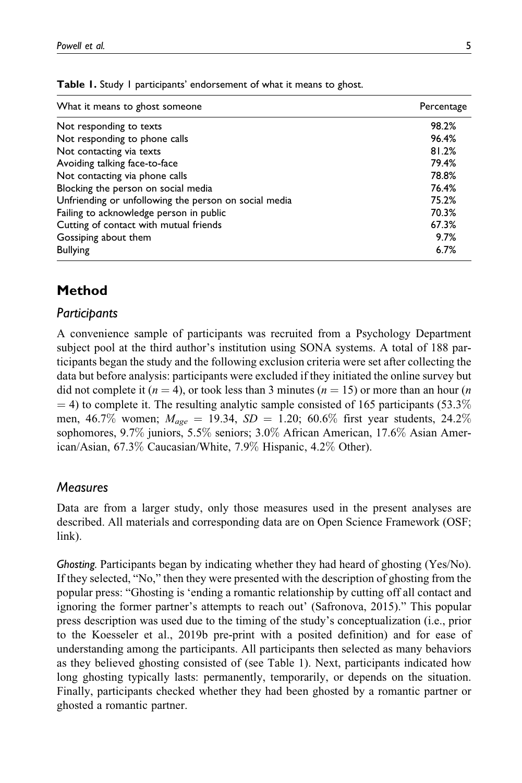| What it means to ghost someone                        | Percentage |
|-------------------------------------------------------|------------|
| Not responding to texts                               | 98.2%      |
| Not responding to phone calls                         | 96.4%      |
| Not contacting via texts                              | 81.2%      |
| Avoiding talking face-to-face                         | 79.4%      |
| Not contacting via phone calls                        | 78.8%      |
| Blocking the person on social media                   | 76.4%      |
| Unfriending or unfollowing the person on social media | 75.2%      |
| Failing to acknowledge person in public               | 70.3%      |
| Cutting of contact with mutual friends                | 67.3%      |
| Gossiping about them                                  | 9.7%       |
| <b>Bullying</b>                                       | 6.7%       |

**Table 1.** Study 1 participants' endorsement of what it means to ghost.

# **Method**

#### *Participants*

A convenience sample of participants was recruited from a Psychology Department subject pool at the third author's institution using SONA systems. A total of 188 participants began the study and the following exclusion criteria were set after collecting the data but before analysis: participants were excluded if they initiated the online survey but did not complete it ( $n = 4$ ), or took less than 3 minutes ( $n = 15$ ) or more than an hour (*n*  $=$  4) to complete it. The resulting analytic sample consisted of 165 participants (53.3%) men, 46.7% women;  $M_{\text{age}} = 19.34$ ,  $SD = 1.20$ ; 60.6% first year students, 24.2% sophomores, 9.7% juniors, 5.5% seniors; 3.0% African American, 17.6% Asian American/Asian, 67.3% Caucasian/White, 7.9% Hispanic, 4.2% Other).

#### *Measures*

Data are from a larger study, only those measures used in the present analyses are described. All materials and corresponding data are on Open Science Framework (OSF; link).

*Ghosting.* Participants began by indicating whether they had heard of ghosting (Yes/No). If they selected, "No," then they were presented with the description of ghosting from the popular press: "Ghosting is 'ending a romantic relationship by cutting off all contact and ignoring the former partner's attempts to reach out' (Safronova, 2015)." This popular press description was used due to the timing of the study's conceptualization (i.e., prior to the Koesseler et al., 2019b pre-print with a posited definition) and for ease of understanding among the participants. All participants then selected as many behaviors as they believed ghosting consisted of (see Table 1). Next, participants indicated how long ghosting typically lasts: permanently, temporarily, or depends on the situation. Finally, participants checked whether they had been ghosted by a romantic partner or ghosted a romantic partner.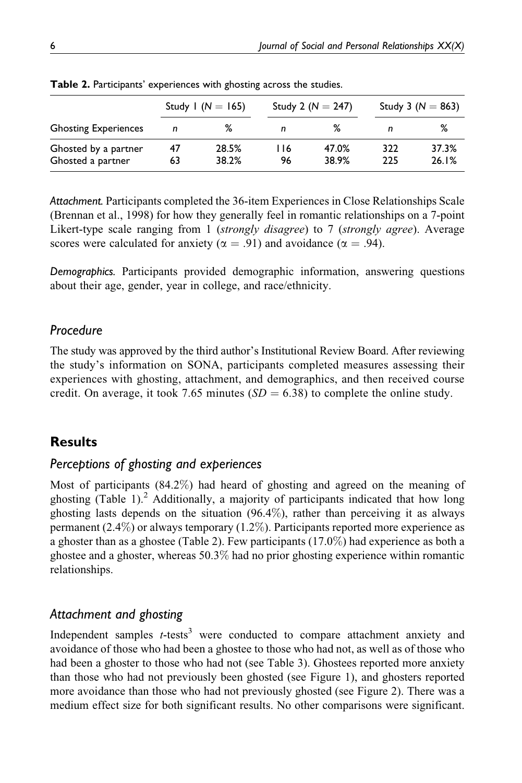|    |       |                       |       |                                               | Study 3 ( $N = 863$ ) |  |
|----|-------|-----------------------|-------|-----------------------------------------------|-----------------------|--|
| n  | ℅     | n                     | %     | n                                             | ℅                     |  |
| 47 | 28.5% | 116                   | 47.0% | 322                                           | 37.3%<br>26.1%        |  |
|    | 63    | Study 1 ( $N = 165$ ) |       | Study 2 ( $N = 247$ )<br>38.2%<br>38.9%<br>96 | 225                   |  |

**Table 2.** Participants' experiences with ghosting across the studies.

*Attachment.* Participants completed the 36-item Experiences in Close Relationships Scale (Brennan et al., 1998) for how they generally feel in romantic relationships on a 7-point Likert-type scale ranging from 1 *(strongly disagree)* to 7 *(strongly agree)*. Average scores were calculated for anxiety ( $\alpha = .91$ ) and avoidance ( $\alpha = .94$ ).

*Demographics.* Participants provided demographic information, answering questions about their age, gender, year in college, and race/ethnicity.

#### *Procedure*

The study was approved by the third author's Institutional Review Board. After reviewing the study's information on SONA, participants completed measures assessing their experiences with ghosting, attachment, and demographics, and then received course credit. On average, it took 7.65 minutes  $(SD = 6.38)$  to complete the online study.

#### **Results**

#### *Perceptions of ghosting and experiences*

Most of participants (84.2%) had heard of ghosting and agreed on the meaning of ghosting (Table 1). $2$  Additionally, a majority of participants indicated that how long ghosting lasts depends on the situation (96.4%), rather than perceiving it as always permanent (2.4%) or always temporary  $(1.2\%)$ . Participants reported more experience as a ghoster than as a ghostee (Table 2). Few participants (17.0%) had experience as both a ghostee and a ghoster, whereas 50.3% had no prior ghosting experience within romantic relationships.

#### *Attachment and ghosting*

Independent samples  $t$ -tests<sup>3</sup> were conducted to compare attachment anxiety and avoidance of those who had been a ghostee to those who had not, as well as of those who had been a ghoster to those who had not (see Table 3). Ghostees reported more anxiety than those who had not previously been ghosted (see Figure 1), and ghosters reported more avoidance than those who had not previously ghosted (see Figure 2). There was a medium effect size for both significant results. No other comparisons were significant.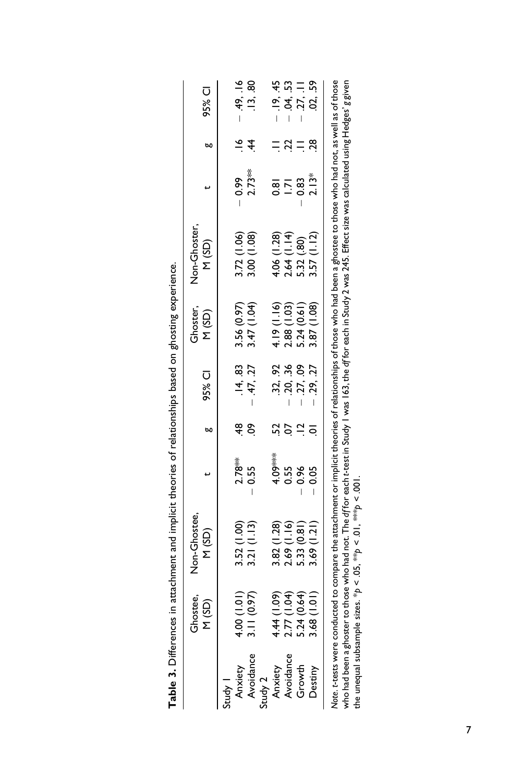|                                                                             | Ghostee,<br>(GS) N                                       | Non-Ghostee,<br>M(SD)                                                                                                                        |          | ы   | 95% CI   | Ghoster,<br>(GS)                          | Non-Ghoster<br>M(SD)                                      | $\overline{a}$   | bo            | 95% CI                   |
|-----------------------------------------------------------------------------|----------------------------------------------------------|----------------------------------------------------------------------------------------------------------------------------------------------|----------|-----|----------|-------------------------------------------|-----------------------------------------------------------|------------------|---------------|--------------------------|
| tudy 1                                                                      |                                                          |                                                                                                                                              | $2.78**$ | ₽\$ | .14.83   | 3.56 (0.97)                               |                                                           |                  | $\frac{6}{1}$ | $-49.16$                 |
| Anxiety<br>Avoidance<br>Study 2<br>Anxiety<br>Avoidance<br>Crowth<br>Growth | $4.00 (1.01)$<br>3.11 (0.97)                             | 3.52 (1.00)<br>3.21 (1.13)                                                                                                                   | 0.55     | δ,  | 47, 27   | 3.47 (1.04)                               | 3.72 (1.06)<br>3.00 (1.08)                                | $0.99$<br>2.73** | 4             | .13.80                   |
|                                                                             |                                                          |                                                                                                                                              |          |     |          |                                           |                                                           |                  |               |                          |
|                                                                             |                                                          |                                                                                                                                              | 4.09***  |     | 32, .92  | 4.19(1.16)                                |                                                           | $\frac{1}{2}$    |               | .19, .45                 |
|                                                                             |                                                          |                                                                                                                                              | 0.55     | ρÓ  | .20, .36 |                                           |                                                           | $\overline{2}$   |               |                          |
|                                                                             | 4.44 (1.09)<br>2.77 (1.04)<br>5.24 (0.64)<br>5.24 (1.01) | 3.82 (1.28)<br>2.69 (1.16)<br>5.33 (0.81)<br>3.69 (1.21)                                                                                     | 0.96     |     | .27, .09 | 2.88 (1.03)<br>5.24 (0.61)<br>3.87 (1.08) | $4.06$ (1.28)<br>2.64 (1.14)<br>5.32 (.80)<br>3.57 (1.12) | 0.83             |               | $.04, .53$<br>$.27, .11$ |
|                                                                             |                                                          |                                                                                                                                              | 0.05     |     | .29, .27 |                                           | (1.12)                                                    | $2.13*$          | 28            | 02, .59                  |
| lote. t-tests were conduct                                                  |                                                          | ed to compare the attachment or implicit theories of relationships of those who had been a ghostee to those who had not, as well as of those |          |     |          |                                           |                                                           |                  |               |                          |

| ֧֘֝         |
|-------------|
|             |
|             |
| :<br>;<br>; |
|             |

who had been a ghoster to those who had not. The df for each t-test in Study I was 163, the df for each in Study 2 was 245. Effect size was calculated using Hedges' g given<br>the unequal subsample sizes. \*p < .05, \*\*p < .01 *Note*. *t*-tests were conducted to compare the attachment or implicit theories of relationships of those who had been a ghostee to those who had not, as well as of those who had been a ghoster to those who had not. The *df* for each *t*-test in Study 1 was 163, the *df* for each in Study 2 was 245. Effect size was calculated using Hedges' *g* given the unequal subsample sizes.  $*p < .05$ ,  $**p < .01$ ,  $**p < .001$ .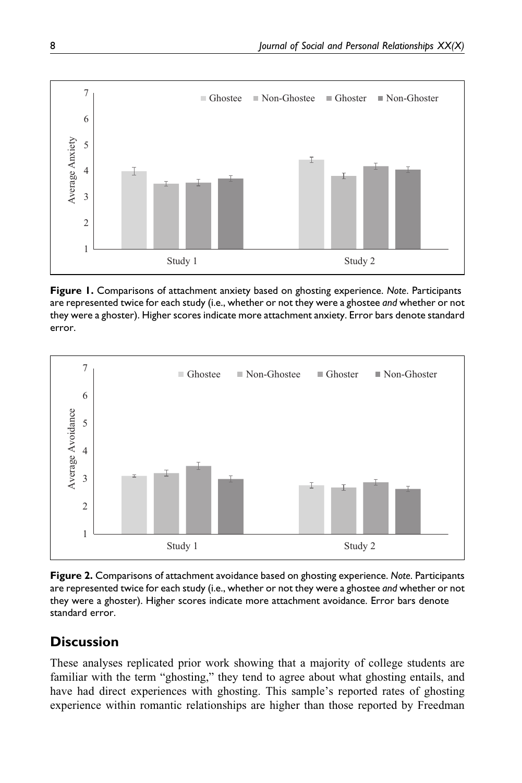

**Figure 1.** Comparisons of attachment anxiety based on ghosting experience. *Note*. Participants are represented twice for each study (i.e., whether or not they were a ghostee *and* whether or not they were a ghoster). Higher scores indicate more attachment anxiety. Error bars denote standard error.



**Figure 2.** Comparisons of attachment avoidance based on ghosting experience. *Note*. Participants are represented twice for each study (i.e., whether or not they were a ghostee *and* whether or not they were a ghoster). Higher scores indicate more attachment avoidance. Error bars denote standard error.

# **Discussion**

These analyses replicated prior work showing that a majority of college students are familiar with the term "ghosting," they tend to agree about what ghosting entails, and have had direct experiences with ghosting. This sample's reported rates of ghosting experience within romantic relationships are higher than those reported by Freedman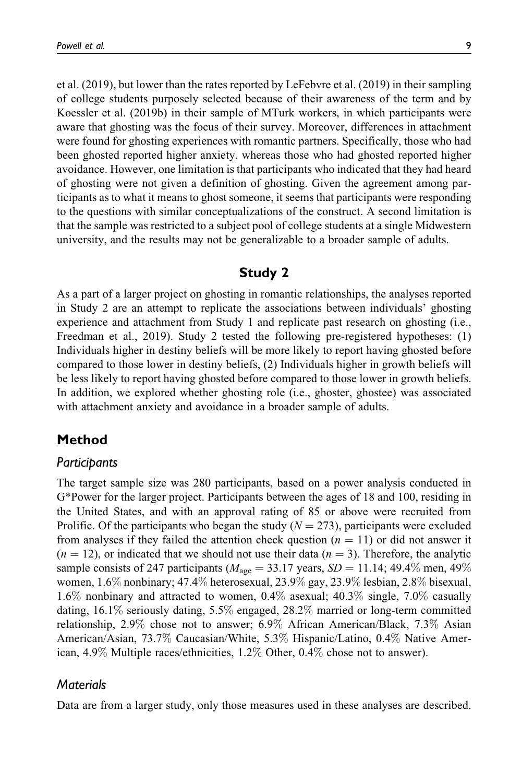et al. (2019), but lower than the rates reported by LeFebvre et al. (2019) in their sampling of college students purposely selected because of their awareness of the term and by Koessler et al. (2019b) in their sample of MTurk workers, in which participants were aware that ghosting was the focus of their survey. Moreover, differences in attachment were found for ghosting experiences with romantic partners. Specifically, those who had been ghosted reported higher anxiety, whereas those who had ghosted reported higher avoidance. However, one limitation is that participants who indicated that they had heard of ghosting were not given a definition of ghosting. Given the agreement among participants as to what it means to ghost someone, it seems that participants were responding to the questions with similar conceptualizations of the construct. A second limitation is that the sample was restricted to a subject pool of college students at a single Midwestern university, and the results may not be generalizable to a broader sample of adults.

#### **Study 2**

As a part of a larger project on ghosting in romantic relationships, the analyses reported in Study 2 are an attempt to replicate the associations between individuals' ghosting experience and attachment from Study 1 and replicate past research on ghosting (i.e., Freedman et al., 2019). Study 2 tested the following pre-registered hypotheses: (1) Individuals higher in destiny beliefs will be more likely to report having ghosted before compared to those lower in destiny beliefs, (2) Individuals higher in growth beliefs will be less likely to report having ghosted before compared to those lower in growth beliefs. In addition, we explored whether ghosting role (i.e., ghoster, ghostee) was associated with attachment anxiety and avoidance in a broader sample of adults.

# **Method**

#### *Participants*

The target sample size was 280 participants, based on a power analysis conducted in G\*Power for the larger project. Participants between the ages of 18 and 100, residing in the United States, and with an approval rating of 85 or above were recruited from Prolific. Of the participants who began the study ( $N = 273$ ), participants were excluded from analyses if they failed the attention check question  $(n = 11)$  or did not answer it  $(n = 12)$ , or indicated that we should not use their data  $(n = 3)$ . Therefore, the analytic sample consists of 247 participants ( $M_{\text{age}} = 33.17$  years,  $SD = 11.14$ ; 49.4% men, 49% women, 1.6% nonbinary; 47.4% heterosexual, 23.9% gay, 23.9% lesbian, 2.8% bisexual, 1.6% nonbinary and attracted to women, 0.4% asexual; 40.3% single, 7.0% casually dating, 16.1% seriously dating, 5.5% engaged, 28.2% married or long-term committed relationship, 2.9% chose not to answer; 6.9% African American/Black, 7.3% Asian American/Asian, 73.7% Caucasian/White, 5.3% Hispanic/Latino, 0.4% Native American, 4.9% Multiple races/ethnicities, 1.2% Other, 0.4% chose not to answer).

### *Materials*

Data are from a larger study, only those measures used in these analyses are described.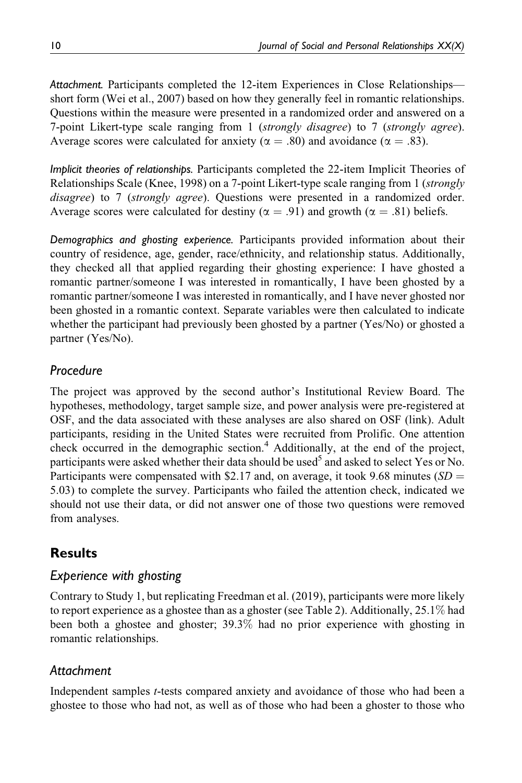*Attachment.* Participants completed the 12-item Experiences in Close Relationships short form (Wei et al., 2007) based on how they generally feel in romantic relationships. Questions within the measure were presented in a randomized order and answered on a 7-point Likert-type scale ranging from 1 (strongly disagree) to 7 (strongly agree). Average scores were calculated for anxiety ( $\alpha = .80$ ) and avoidance ( $\alpha = .83$ ).

*Implicit theories of relationships.* Participants completed the 22-item Implicit Theories of Relationships Scale (Knee, 1998) on a 7-point Likert-type scale ranging from 1 (strongly disagree) to 7 (strongly agree). Questions were presented in a randomized order. Average scores were calculated for destiny ( $\alpha = .91$ ) and growth ( $\alpha = .81$ ) beliefs.

*Demographics and ghosting experience.* Participants provided information about their country of residence, age, gender, race/ethnicity, and relationship status. Additionally, they checked all that applied regarding their ghosting experience: I have ghosted a romantic partner/someone I was interested in romantically, I have been ghosted by a romantic partner/someone I was interested in romantically, and I have never ghosted nor been ghosted in a romantic context. Separate variables were then calculated to indicate whether the participant had previously been ghosted by a partner (Yes/No) or ghosted a partner (Yes/No).

# *Procedure*

The project was approved by the second author's Institutional Review Board. The hypotheses, methodology, target sample size, and power analysis were pre-registered at OSF, and the data associated with these analyses are also shared on OSF (link). Adult participants, residing in the United States were recruited from Prolific. One attention check occurred in the demographic section.<sup>4</sup> Additionally, at the end of the project, participants were asked whether their data should be used<sup>5</sup> and asked to select Yes or No. Participants were compensated with \$2.17 and, on average, it took 9.68 minutes ( $SD =$ 5.03) to complete the survey. Participants who failed the attention check, indicated we should not use their data, or did not answer one of those two questions were removed from analyses.

# **Results**

# *Experience with ghosting*

Contrary to Study 1, but replicating Freedman et al. (2019), participants were more likely to report experience as a ghostee than as a ghoster (see Table 2). Additionally, 25.1% had been both a ghostee and ghoster; 39.3% had no prior experience with ghosting in romantic relationships.

# *Attachment*

Independent samples t-tests compared anxiety and avoidance of those who had been a ghostee to those who had not, as well as of those who had been a ghoster to those who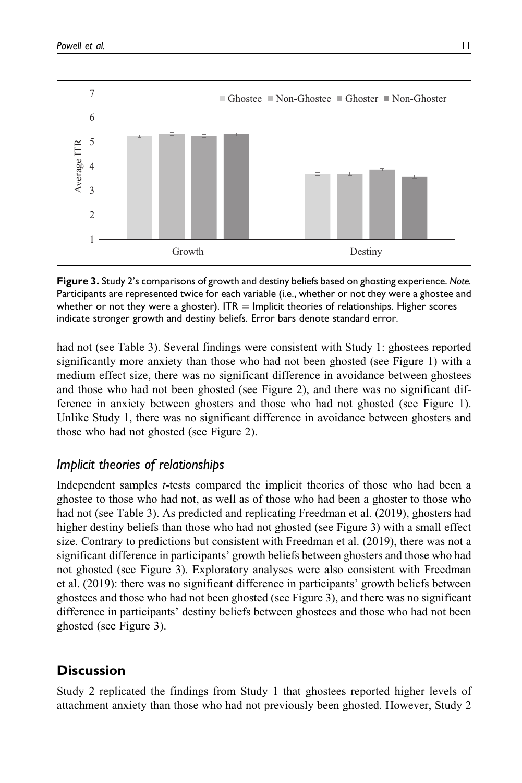

**Figure 3.** Study 2's comparisons of growth and destiny beliefs based on ghosting experience. *Note.* Participants are represented twice for each variable (i.e., whether or not they were a ghostee and whether or not they were a ghoster).  $ITR =$  Implicit theories of relationships. Higher scores indicate stronger growth and destiny beliefs. Error bars denote standard error.

had not (see Table 3). Several findings were consistent with Study 1: ghostees reported significantly more anxiety than those who had not been ghosted (see Figure 1) with a medium effect size, there was no significant difference in avoidance between ghostees and those who had not been ghosted (see Figure 2), and there was no significant difference in anxiety between ghosters and those who had not ghosted (see Figure 1). Unlike Study 1, there was no significant difference in avoidance between ghosters and those who had not ghosted (see Figure 2).

# *Implicit theories of relationships*

Independent samples t-tests compared the implicit theories of those who had been a ghostee to those who had not, as well as of those who had been a ghoster to those who had not (see Table 3). As predicted and replicating Freedman et al. (2019), ghosters had higher destiny beliefs than those who had not ghosted (see Figure 3) with a small effect size. Contrary to predictions but consistent with Freedman et al. (2019), there was not a significant difference in participants' growth beliefs between ghosters and those who had not ghosted (see Figure 3). Exploratory analyses were also consistent with Freedman et al. (2019): there was no significant difference in participants' growth beliefs between ghostees and those who had not been ghosted (see Figure 3), and there was no significant difference in participants' destiny beliefs between ghostees and those who had not been ghosted (see Figure 3).

# **Discussion**

Study 2 replicated the findings from Study 1 that ghostees reported higher levels of attachment anxiety than those who had not previously been ghosted. However, Study 2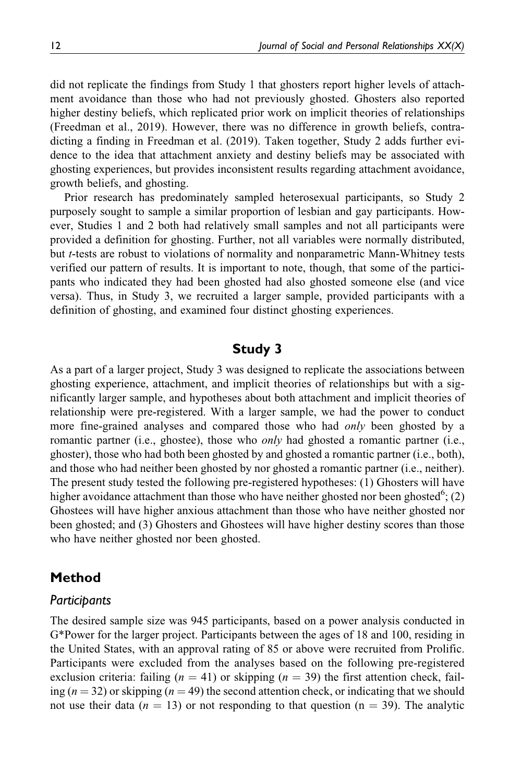did not replicate the findings from Study 1 that ghosters report higher levels of attachment avoidance than those who had not previously ghosted. Ghosters also reported higher destiny beliefs, which replicated prior work on implicit theories of relationships (Freedman et al., 2019). However, there was no difference in growth beliefs, contradicting a finding in Freedman et al. (2019). Taken together, Study 2 adds further evidence to the idea that attachment anxiety and destiny beliefs may be associated with ghosting experiences, but provides inconsistent results regarding attachment avoidance, growth beliefs, and ghosting.

Prior research has predominately sampled heterosexual participants, so Study 2 purposely sought to sample a similar proportion of lesbian and gay participants. However, Studies 1 and 2 both had relatively small samples and not all participants were provided a definition for ghosting. Further, not all variables were normally distributed, but t-tests are robust to violations of normality and nonparametric Mann-Whitney tests verified our pattern of results. It is important to note, though, that some of the participants who indicated they had been ghosted had also ghosted someone else (and vice versa). Thus, in Study 3, we recruited a larger sample, provided participants with a definition of ghosting, and examined four distinct ghosting experiences.

#### **Study 3**

As a part of a larger project, Study 3 was designed to replicate the associations between ghosting experience, attachment, and implicit theories of relationships but with a significantly larger sample, and hypotheses about both attachment and implicit theories of relationship were pre-registered. With a larger sample, we had the power to conduct more fine-grained analyses and compared those who had *only* been ghosted by a romantic partner (i.e., ghostee), those who *only* had ghosted a romantic partner (i.e., ghoster), those who had both been ghosted by and ghosted a romantic partner (i.e., both), and those who had neither been ghosted by nor ghosted a romantic partner (i.e., neither). The present study tested the following pre-registered hypotheses: (1) Ghosters will have higher avoidance attachment than those who have neither ghosted nor been ghosted<sup>6</sup>; (2) Ghostees will have higher anxious attachment than those who have neither ghosted nor been ghosted; and (3) Ghosters and Ghostees will have higher destiny scores than those who have neither ghosted nor been ghosted.

#### **Method**

#### *Participants*

The desired sample size was 945 participants, based on a power analysis conducted in G\*Power for the larger project. Participants between the ages of 18 and 100, residing in the United States, with an approval rating of 85 or above were recruited from Prolific. Participants were excluded from the analyses based on the following pre-registered exclusion criteria: failing ( $n = 41$ ) or skipping ( $n = 39$ ) the first attention check, failing ( $n = 32$ ) or skipping ( $n = 49$ ) the second attention check, or indicating that we should not use their data ( $n = 13$ ) or not responding to that question ( $n = 39$ ). The analytic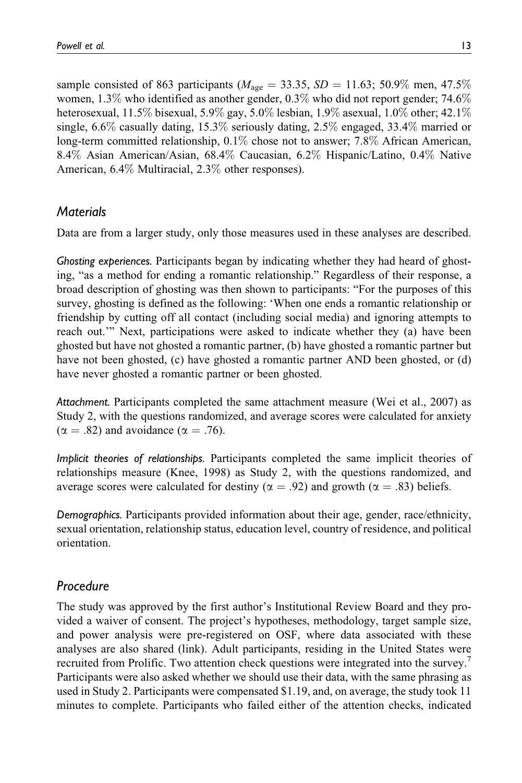sample consisted of 863 participants ( $M_{\text{age}} = 33.35$ ,  $SD = 11.63$ ; 50.9% men, 47.5% women, 1.3% who identified as another gender, 0.3% who did not report gender; 74.6% heterosexual, 11.5% bisexual, 5.9% gay, 5.0% lesbian, 1.9% asexual, 1.0% other; 42.1% single, 6.6% casually dating, 15.3% seriously dating, 2.5% engaged, 33.4% married or long-term committed relationship, 0.1% chose not to answer; 7.8% African American, 8.4% Asian American/Asian, 68.4% Caucasian, 6.2% Hispanic/Latino, 0.4% Native American, 6.4% Multiracial, 2.3% other responses).

## *Materials*

Data are from a larger study, only those measures used in these analyses are described.

*Ghosting experiences.* Participants began by indicating whether they had heard of ghosting, "as a method for ending a romantic relationship." Regardless of their response, a broad description of ghosting was then shown to participants: "For the purposes of this survey, ghosting is defined as the following: 'When one ends a romantic relationship or friendship by cutting off all contact (including social media) and ignoring attempts to reach out.'" Next, participations were asked to indicate whether they (a) have been ghosted but have not ghosted a romantic partner, (b) have ghosted a romantic partner but have not been ghosted, (c) have ghosted a romantic partner AND been ghosted, or (d) have never ghosted a romantic partner or been ghosted.

*Attachment.* Participants completed the same attachment measure (Wei et al., 2007) as Study 2, with the questions randomized, and average scores were calculated for anxiety  $(\alpha = .82)$  and avoidance  $(\alpha = .76)$ .

*Implicit theories of relationships.* Participants completed the same implicit theories of relationships measure (Knee, 1998) as Study 2, with the questions randomized, and average scores were calculated for destiny ( $\alpha = .92$ ) and growth ( $\alpha = .83$ ) beliefs.

*Demographics.* Participants provided information about their age, gender, race/ethnicity, sexual orientation, relationship status, education level, country of residence, and political orientation.

### *Procedure*

The study was approved by the first author's Institutional Review Board and they provided a waiver of consent. The project's hypotheses, methodology, target sample size, and power analysis were pre-registered on OSF, where data associated with these analyses are also shared (link). Adult participants, residing in the United States were recruited from Prolific. Two attention check questions were integrated into the survey. Participants were also asked whether we should use their data, with the same phrasing as used in Study 2. Participants were compensated \$1.19, and, on average, the study took 11 minutes to complete. Participants who failed either of the attention checks, indicated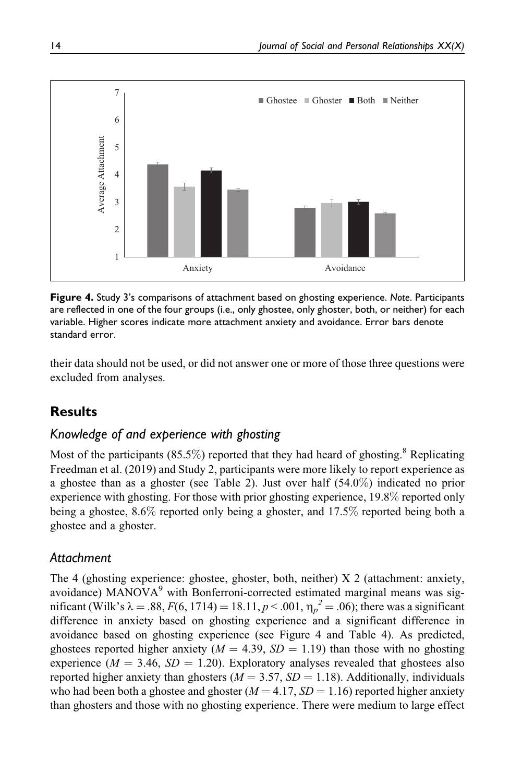

**Figure 4.** Study 3's comparisons of attachment based on ghosting experience. *Note*. Participants are reflected in one of the four groups (i.e., only ghostee, only ghoster, both, or neither) for each variable. Higher scores indicate more attachment anxiety and avoidance. Error bars denote standard error.

their data should not be used, or did not answer one or more of those three questions were excluded from analyses.

# **Results**

### *Knowledge of and experience with ghosting*

Most of the participants (85.5%) reported that they had heard of ghosting.<sup>8</sup> Replicating Freedman et al. (2019) and Study 2, participants were more likely to report experience as a ghostee than as a ghoster (see Table 2). Just over half (54.0%) indicated no prior experience with ghosting. For those with prior ghosting experience, 19.8% reported only being a ghostee, 8.6% reported only being a ghoster, and 17.5% reported being both a ghostee and a ghoster.

# *Attachment*

The 4 (ghosting experience: ghostee, ghoster, both, neither) X 2 (attachment: anxiety, avoidance) MANOVA<sup>9</sup> with Bonferroni-corrected estimated marginal means was significant (Wilk's  $\lambda = .88$ ,  $F(6, 1714) = 18.11$ ,  $p < .001$ ,  $\eta_p^2 = .06$ ); there was a significant difference in anxiety based on ghosting experience and a significant difference in avoidance based on ghosting experience (see Figure 4 and Table 4). As predicted, ghostees reported higher anxiety ( $M = 4.39$ ,  $SD = 1.19$ ) than those with no ghosting experience ( $M = 3.46$ ,  $SD = 1.20$ ). Exploratory analyses revealed that ghostees also reported higher anxiety than ghosters ( $M = 3.57$ ,  $SD = 1.18$ ). Additionally, individuals who had been both a ghostee and ghoster  $(M = 4.17, SD = 1.16)$  reported higher anxiety than ghosters and those with no ghosting experience. There were medium to large effect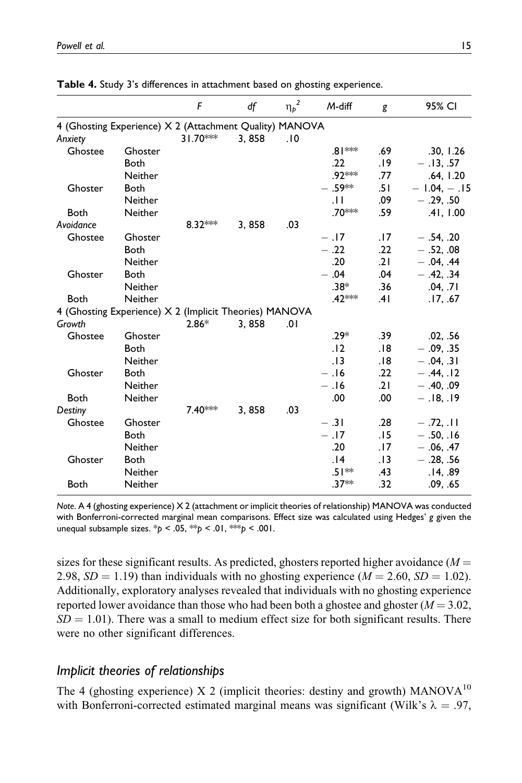|                                                         |                | F          | df    | ${\eta_p}^2$ | M-diff    | g   | 95% CI        |
|---------------------------------------------------------|----------------|------------|-------|--------------|-----------|-----|---------------|
| 4 (Ghosting Experience) X 2 (Attachment Quality) MANOVA |                |            |       |              |           |     |               |
| Anxiety                                                 |                | $31.70***$ | 3,858 | .10          |           |     |               |
| Ghostee                                                 | Ghoster        |            |       |              | .81 ***   | .69 | .30, 1.26     |
|                                                         | <b>Both</b>    |            |       |              | .22       | .19 | $-13, .57$    |
|                                                         | Neither        |            |       |              | .92***    | .77 | .64, 1.20     |
| Ghoster                                                 | <b>Both</b>    |            |       |              | $- .59**$ | .51 | $-1.04, -.15$ |
|                                                         | Neither        |            |       |              | .H        | .09 | $-.29, .50$   |
| Both                                                    | <b>Neither</b> |            |       |              | .70***    | .59 | .41, 1.00     |
| Avoidance                                               |                | 8.32***    | 3,858 | .03          |           |     |               |
| Ghostee                                                 | Ghoster        |            |       |              | $-.17$    | .17 | $-.54, .20$   |
|                                                         | <b>Both</b>    |            |       |              | $-.22$    | .22 | $-.52, .08$   |
|                                                         | Neither        |            |       |              | .20       | .21 | $-.04, .44$   |
| Ghoster                                                 | Both           |            |       |              | $-.04$    | .04 | $-.42, .34$   |
|                                                         | Neither        |            |       |              | $.38*$    | .36 | .04, .71      |
| Both                                                    | <b>Neither</b> |            |       |              | .42 ***   | .41 | .17, .67      |
| 4 (Ghosting Experience) X 2 (Implicit Theories) MANOVA  |                |            |       |              |           |     |               |
| Growth                                                  |                | $2.86*$    | 3,858 | .01          |           |     |               |
| Ghostee                                                 | Ghoster        |            |       |              | $.29*$    | .39 | .02, .56      |
|                                                         | <b>Both</b>    |            |       |              | .12       | .18 | $-.09, .35$   |
|                                                         | Neither        |            |       |              | .13       | 18. | $-.04, .31$   |
| Ghoster                                                 | <b>Both</b>    |            |       |              | $-16$     | .22 | $-.44.12$     |
|                                                         | <b>Neither</b> |            |       |              | $-16$     | .21 | $-.40, .09$   |
| Both                                                    | Neither        |            |       |              | .00       | .00 | $-18,19$      |
| Destiny                                                 |                | $7.40***$  | 3,858 | .03          |           |     |               |
| Ghostee                                                 | Ghoster        |            |       |              | $-.31$    | .28 | $-.72, .11$   |
|                                                         | <b>Both</b>    |            |       |              | $-.17$    | .15 | $-.50, .16$   |
|                                                         | Neither        |            |       |              | .20       | .17 | $-.06, .47$   |
| Ghoster                                                 | <b>Both</b>    |            |       |              | .14       | .13 | $-.28, .56$   |
|                                                         | <b>Neither</b> |            |       |              | .51**     | .43 | .14, .89      |
| <b>Both</b>                                             | Neither        |            |       |              | $.37**$   | .32 | .09, .65      |

**Table 4.** Study 3's differences in attachment based on ghosting experience.

*Note*. A 4 (ghosting experience) X 2 (attachment or implicit theories of relationship) MANOVA was conducted with Bonferroni-corrected marginal mean comparisons. Effect size was calculated using Hedges' *g* given the unequal subsample sizes. \**p* < .05, \*\**p* < .01, \*\*\**p* < .001.

sizes for these significant results. As predicted, ghosters reported higher avoidance ( $M =$ 2.98,  $SD = 1.19$ ) than individuals with no ghosting experience ( $M = 2.60$ ,  $SD = 1.02$ ). Additionally, exploratory analyses revealed that individuals with no ghosting experience reported lower avoidance than those who had been both a ghostee and ghoster  $(M = 3.02$ ,  $SD = 1.01$ ). There was a small to medium effect size for both significant results. There were no other significant differences.

#### *Implicit theories of relationships*

The 4 (ghosting experience) X 2 (implicit theories: destiny and growth) MANOVA<sup>10</sup> with Bonferroni-corrected estimated marginal means was significant (Wilk's  $\lambda = .97$ ,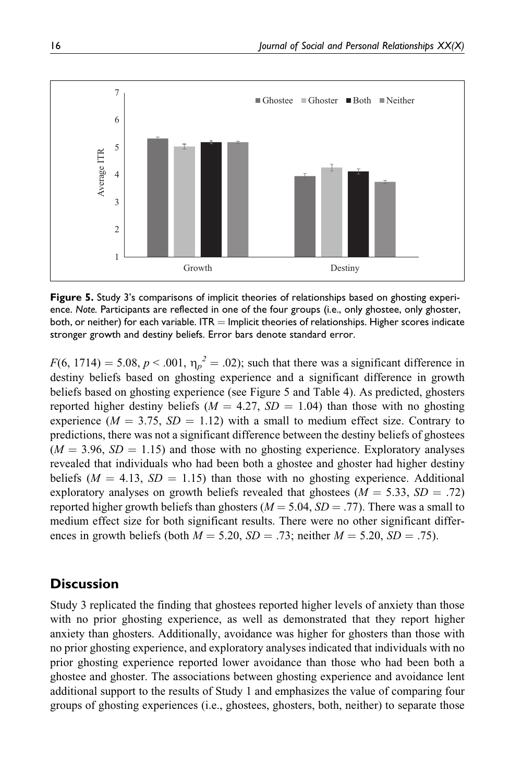

**Figure 5.** Study 3's comparisons of implicit theories of relationships based on ghosting experience. *Note.* Participants are reflected in one of the four groups (i.e., only ghostee, only ghoster, both, or neither) for each variable. ITR  $=$  Implicit theories of relationships. Higher scores indicate stronger growth and destiny beliefs. Error bars denote standard error.

 $F(6, 1714) = 5.08, p < .001, \eta_p^2 = .02$ ); such that there was a significant difference in destiny beliefs based on ghosting experience and a significant difference in growth beliefs based on ghosting experience (see Figure 5 and Table 4). As predicted, ghosters reported higher destiny beliefs ( $M = 4.27$ ,  $SD = 1.04$ ) than those with no ghosting experience ( $M = 3.75$ ,  $SD = 1.12$ ) with a small to medium effect size. Contrary to predictions, there was not a significant difference between the destiny beliefs of ghostees  $(M = 3.96, SD = 1.15)$  and those with no ghosting experience. Exploratory analyses revealed that individuals who had been both a ghostee and ghoster had higher destiny beliefs ( $M = 4.13$ ,  $SD = 1.15$ ) than those with no ghosting experience. Additional exploratory analyses on growth beliefs revealed that ghostees  $(M = 5.33, SD = .72)$ reported higher growth beliefs than ghosters ( $M = 5.04$ ,  $SD = .77$ ). There was a small to medium effect size for both significant results. There were no other significant differences in growth beliefs (both  $M = 5.20$ ,  $SD = .73$ ; neither  $M = 5.20$ ,  $SD = .75$ ).

### **Discussion**

Study 3 replicated the finding that ghostees reported higher levels of anxiety than those with no prior ghosting experience, as well as demonstrated that they report higher anxiety than ghosters. Additionally, avoidance was higher for ghosters than those with no prior ghosting experience, and exploratory analyses indicated that individuals with no prior ghosting experience reported lower avoidance than those who had been both a ghostee and ghoster. The associations between ghosting experience and avoidance lent additional support to the results of Study 1 and emphasizes the value of comparing four groups of ghosting experiences (i.e., ghostees, ghosters, both, neither) to separate those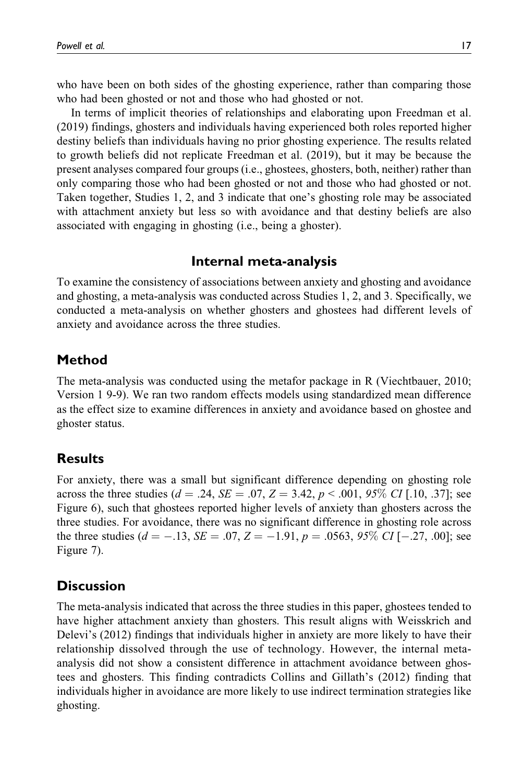who have been on both sides of the ghosting experience, rather than comparing those who had been ghosted or not and those who had ghosted or not.

In terms of implicit theories of relationships and elaborating upon Freedman et al. (2019) findings, ghosters and individuals having experienced both roles reported higher destiny beliefs than individuals having no prior ghosting experience. The results related to growth beliefs did not replicate Freedman et al. (2019), but it may be because the present analyses compared four groups (i.e., ghostees, ghosters, both, neither) rather than only comparing those who had been ghosted or not and those who had ghosted or not. Taken together, Studies 1, 2, and 3 indicate that one's ghosting role may be associated with attachment anxiety but less so with avoidance and that destiny beliefs are also associated with engaging in ghosting (i.e., being a ghoster).

# **Internal meta-analysis**

To examine the consistency of associations between anxiety and ghosting and avoidance and ghosting, a meta-analysis was conducted across Studies 1, 2, and 3. Specifically, we conducted a meta-analysis on whether ghosters and ghostees had different levels of anxiety and avoidance across the three studies.

# **Method**

The meta-analysis was conducted using the metafor package in R (Viechtbauer, 2010; Version 1 9-9). We ran two random effects models using standardized mean difference as the effect size to examine differences in anxiety and avoidance based on ghostee and ghoster status.

# **Results**

For anxiety, there was a small but significant difference depending on ghosting role across the three studies ( $d = .24$ ,  $SE = .07$ ,  $Z = 3.42$ ,  $p < .001$ ,  $95\%$  CI [.10, .37]; see Figure 6), such that ghostees reported higher levels of anxiety than ghosters across the three studies. For avoidance, there was no significant difference in ghosting role across the three studies ( $d = -.13$ ,  $SE = .07$ ,  $Z = -1.91$ ,  $p = .0563$ ,  $95\%$  CI [-.27, .00]; see Figure 7).

# **Discussion**

The meta-analysis indicated that across the three studies in this paper, ghostees tended to have higher attachment anxiety than ghosters. This result aligns with Weisskrich and Delevi's (2012) findings that individuals higher in anxiety are more likely to have their relationship dissolved through the use of technology. However, the internal metaanalysis did not show a consistent difference in attachment avoidance between ghostees and ghosters. This finding contradicts Collins and Gillath's (2012) finding that individuals higher in avoidance are more likely to use indirect termination strategies like ghosting.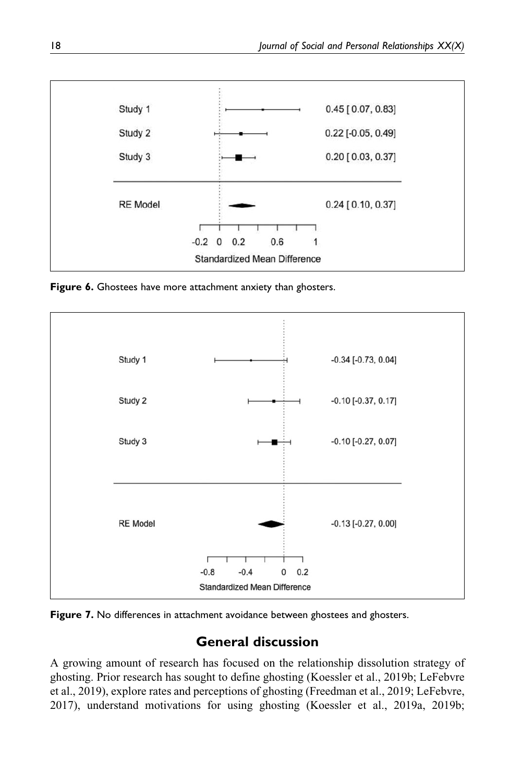

**Figure 6.** Ghostees have more attachment anxiety than ghosters.



Figure 7. No differences in attachment avoidance between ghostees and ghosters.

# **General discussion**

A growing amount of research has focused on the relationship dissolution strategy of ghosting. Prior research has sought to define ghosting (Koessler et al., 2019b; LeFebvre et al., 2019), explore rates and perceptions of ghosting (Freedman et al., 2019; LeFebvre, 2017), understand motivations for using ghosting (Koessler et al., 2019a, 2019b;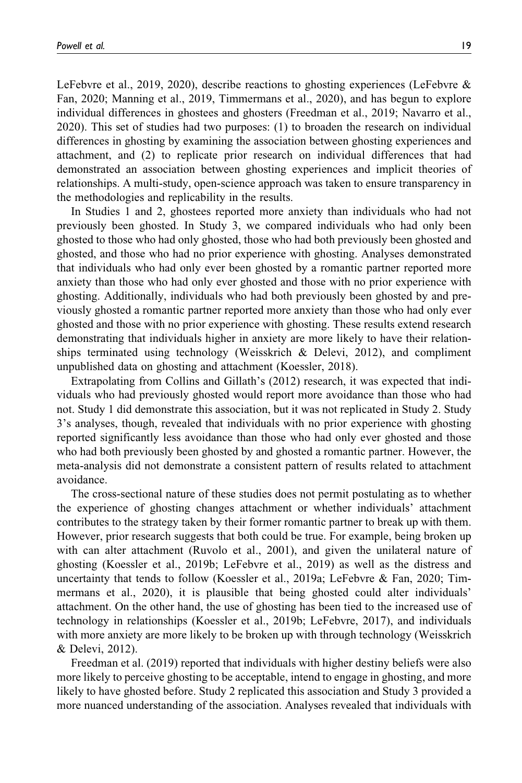LeFebvre et al., 2019, 2020), describe reactions to ghosting experiences (LeFebvre & Fan, 2020; Manning et al., 2019, Timmermans et al., 2020), and has begun to explore individual differences in ghostees and ghosters (Freedman et al., 2019; Navarro et al., 2020). This set of studies had two purposes: (1) to broaden the research on individual differences in ghosting by examining the association between ghosting experiences and attachment, and (2) to replicate prior research on individual differences that had demonstrated an association between ghosting experiences and implicit theories of relationships. A multi-study, open-science approach was taken to ensure transparency in the methodologies and replicability in the results.

In Studies 1 and 2, ghostees reported more anxiety than individuals who had not previously been ghosted. In Study 3, we compared individuals who had only been ghosted to those who had only ghosted, those who had both previously been ghosted and ghosted, and those who had no prior experience with ghosting. Analyses demonstrated that individuals who had only ever been ghosted by a romantic partner reported more anxiety than those who had only ever ghosted and those with no prior experience with ghosting. Additionally, individuals who had both previously been ghosted by and previously ghosted a romantic partner reported more anxiety than those who had only ever ghosted and those with no prior experience with ghosting. These results extend research demonstrating that individuals higher in anxiety are more likely to have their relationships terminated using technology (Weisskrich  $\&$  Delevi, 2012), and compliment unpublished data on ghosting and attachment (Koessler, 2018).

Extrapolating from Collins and Gillath's (2012) research, it was expected that individuals who had previously ghosted would report more avoidance than those who had not. Study 1 did demonstrate this association, but it was not replicated in Study 2. Study 3's analyses, though, revealed that individuals with no prior experience with ghosting reported significantly less avoidance than those who had only ever ghosted and those who had both previously been ghosted by and ghosted a romantic partner. However, the meta-analysis did not demonstrate a consistent pattern of results related to attachment avoidance.

The cross-sectional nature of these studies does not permit postulating as to whether the experience of ghosting changes attachment or whether individuals' attachment contributes to the strategy taken by their former romantic partner to break up with them. However, prior research suggests that both could be true. For example, being broken up with can alter attachment (Ruvolo et al., 2001), and given the unilateral nature of ghosting (Koessler et al., 2019b; LeFebvre et al., 2019) as well as the distress and uncertainty that tends to follow (Koessler et al., 2019a; LeFebvre & Fan, 2020; Timmermans et al., 2020), it is plausible that being ghosted could alter individuals' attachment. On the other hand, the use of ghosting has been tied to the increased use of technology in relationships (Koessler et al., 2019b; LeFebvre, 2017), and individuals with more anxiety are more likely to be broken up with through technology (Weisskrich & Delevi, 2012).

Freedman et al. (2019) reported that individuals with higher destiny beliefs were also more likely to perceive ghosting to be acceptable, intend to engage in ghosting, and more likely to have ghosted before. Study 2 replicated this association and Study 3 provided a more nuanced understanding of the association. Analyses revealed that individuals with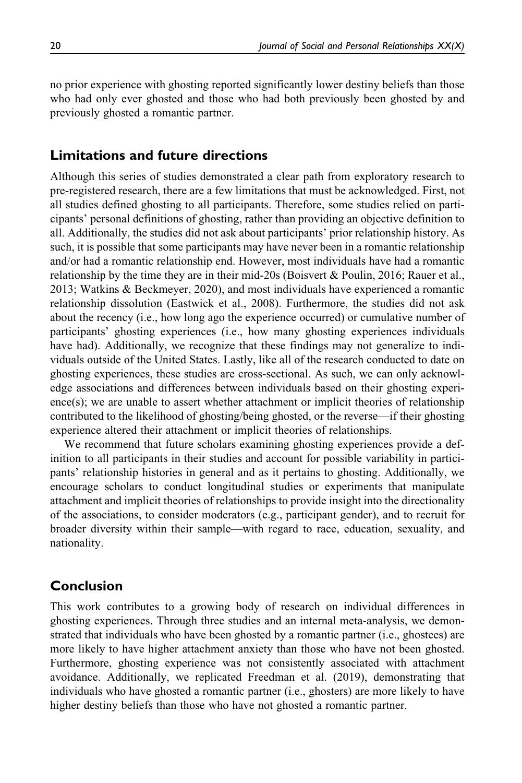no prior experience with ghosting reported significantly lower destiny beliefs than those who had only ever ghosted and those who had both previously been ghosted by and previously ghosted a romantic partner.

#### **Limitations and future directions**

Although this series of studies demonstrated a clear path from exploratory research to pre-registered research, there are a few limitations that must be acknowledged. First, not all studies defined ghosting to all participants. Therefore, some studies relied on participants' personal definitions of ghosting, rather than providing an objective definition to all. Additionally, the studies did not ask about participants' prior relationship history. As such, it is possible that some participants may have never been in a romantic relationship and/or had a romantic relationship end. However, most individuals have had a romantic relationship by the time they are in their mid-20s (Boisvert & Poulin, 2016; Rauer et al., 2013; Watkins & Beckmeyer, 2020), and most individuals have experienced a romantic relationship dissolution (Eastwick et al., 2008). Furthermore, the studies did not ask about the recency (i.e., how long ago the experience occurred) or cumulative number of participants' ghosting experiences (i.e., how many ghosting experiences individuals have had). Additionally, we recognize that these findings may not generalize to individuals outside of the United States. Lastly, like all of the research conducted to date on ghosting experiences, these studies are cross-sectional. As such, we can only acknowledge associations and differences between individuals based on their ghosting experi- $\text{ence}(s)$ ; we are unable to assert whether attachment or implicit theories of relationship contributed to the likelihood of ghosting/being ghosted, or the reverse—if their ghosting experience altered their attachment or implicit theories of relationships.

We recommend that future scholars examining ghosting experiences provide a definition to all participants in their studies and account for possible variability in participants' relationship histories in general and as it pertains to ghosting. Additionally, we encourage scholars to conduct longitudinal studies or experiments that manipulate attachment and implicit theories of relationships to provide insight into the directionality of the associations, to consider moderators (e.g., participant gender), and to recruit for broader diversity within their sample—with regard to race, education, sexuality, and nationality.

#### **Conclusion**

This work contributes to a growing body of research on individual differences in ghosting experiences. Through three studies and an internal meta-analysis, we demonstrated that individuals who have been ghosted by a romantic partner (i.e., ghostees) are more likely to have higher attachment anxiety than those who have not been ghosted. Furthermore, ghosting experience was not consistently associated with attachment avoidance. Additionally, we replicated Freedman et al. (2019), demonstrating that individuals who have ghosted a romantic partner (i.e., ghosters) are more likely to have higher destiny beliefs than those who have not ghosted a romantic partner.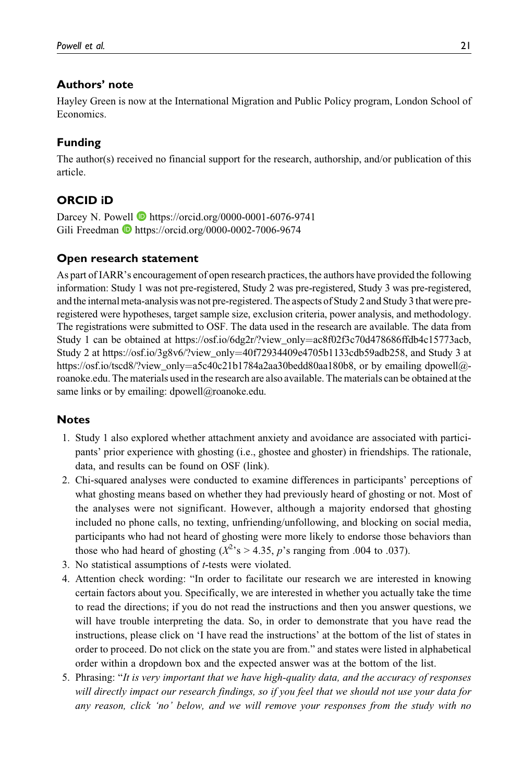#### **Authors' note**

Hayley Green is now at the International Migration and Public Policy program, London School of **Economics** 

#### **Funding**

The author(s) received no financial support for the research, authorship, and/or publication of this article.

#### **ORCID iD**

Darcey N. Powell **D** <https://orcid.org/0000-0001-6076-9741> Gili Freedman  $\bullet$  <https://orcid.org/0000-0002-7006-9674>

#### **Open research statement**

As part of IARR's encouragement of open research practices, the authors have provided the following information: Study 1 was not pre-registered, Study 2 was pre-registered, Study 3 was pre-registered, and the internal meta-analysis was not pre-registered. The aspects of Study 2 and Study 3 that were preregistered were hypotheses, target sample size, exclusion criteria, power analysis, and methodology. The registrations were submitted to OSF. The data used in the research are available. The data from Study 1 can be obtained at [https://osf.io/6dg2r/?view\\_only](https://osf.io/6dg2r/?view_only=ac8f02f3c70d478686ffdb4c15773acb)=[ac8f02f3c70d478686ffdb4c15773acb](https://osf.io/6dg2r/?view_only=ac8f02f3c70d478686ffdb4c15773acb), Study 2 at https://osf.io/3g8v6/?view\_only=40f72934409e4705b1133cdb59adb258, and Study 3 at [https://osf.io/tscd8/?view\\_only](https://osf.io/tscd8/?view_only=a5c40c21b1784a2aa30bedd80aa180b8)=[a5c40c21b1784a2aa30bedd80aa180b8,](https://osf.io/tscd8/?view_only=a5c40c21b1784a2aa30bedd80aa180b8) or by emailing dpowell@roanoke.edu. The materials used in the research are also available. The materials can be obtained at the same links or by emailing: [dpowell@roanoke.edu.](mailto:dpowell@roanoke.edu)

#### **Notes**

- 1. Study 1 also explored whether attachment anxiety and avoidance are associated with participants' prior experience with ghosting (i.e., ghostee and ghoster) in friendships. The rationale, data, and results can be found on OSF (link).
- 2. Chi-squared analyses were conducted to examine differences in participants' perceptions of what ghosting means based on whether they had previously heard of ghosting or not. Most of the analyses were not significant. However, although a majority endorsed that ghosting included no phone calls, no texting, unfriending/unfollowing, and blocking on social media, participants who had not heard of ghosting were more likely to endorse those behaviors than those who had heard of ghosting ( $X^2$ 's > 4.35, p's ranging from .004 to .037).
- 3. No statistical assumptions of t-tests were violated.
- 4. Attention check wording: "In order to facilitate our research we are interested in knowing certain factors about you. Specifically, we are interested in whether you actually take the time to read the directions; if you do not read the instructions and then you answer questions, we will have trouble interpreting the data. So, in order to demonstrate that you have read the instructions, please click on 'I have read the instructions' at the bottom of the list of states in order to proceed. Do not click on the state you are from." and states were listed in alphabetical order within a dropdown box and the expected answer was at the bottom of the list.
- 5. Phrasing: "It is very important that we have high-quality data, and the accuracy of responses will directly impact our research findings, so if you feel that we should not use your data for any reason, click 'no' below, and we will remove your responses from the study with no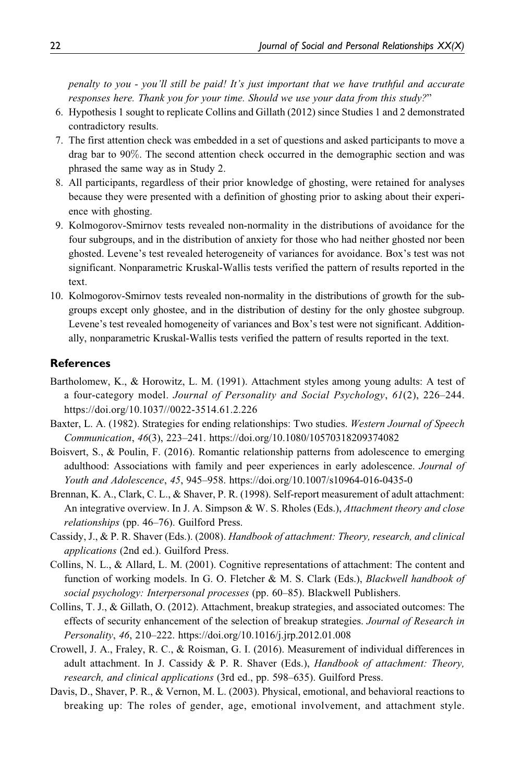penalty to you - you'll still be paid! It's just important that we have truthful and accurate responses here. Thank you for your time. Should we use your data from this study?"

- 6. Hypothesis 1 sought to replicate Collins and Gillath (2012) since Studies 1 and 2 demonstrated contradictory results.
- 7. The first attention check was embedded in a set of questions and asked participants to move a drag bar to 90%. The second attention check occurred in the demographic section and was phrased the same way as in Study 2.
- 8. All participants, regardless of their prior knowledge of ghosting, were retained for analyses because they were presented with a definition of ghosting prior to asking about their experience with ghosting.
- 9. Kolmogorov-Smirnov tests revealed non-normality in the distributions of avoidance for the four subgroups, and in the distribution of anxiety for those who had neither ghosted nor been ghosted. Levene's test revealed heterogeneity of variances for avoidance. Box's test was not significant. Nonparametric Kruskal-Wallis tests verified the pattern of results reported in the text.
- 10. Kolmogorov-Smirnov tests revealed non-normality in the distributions of growth for the subgroups except only ghostee, and in the distribution of destiny for the only ghostee subgroup. Levene's test revealed homogeneity of variances and Box's test were not significant. Additionally, nonparametric Kruskal-Wallis tests verified the pattern of results reported in the text.

#### **References**

- Bartholomew, K., & Horowitz, L. M. (1991). Attachment styles among young adults: A test of a four-category model. Journal of Personality and Social Psychology, 61(2), 226–244. <https://doi.org/10.1037//0022-3514.61.2.226>
- Baxter, L. A. (1982). Strategies for ending relationships: Two studies. Western Journal of Speech Communication, 46(3), 223–241.<https://doi.org/10.1080/10570318209374082>
- Boisvert, S., & Poulin, F. (2016). Romantic relationship patterns from adolescence to emerging adulthood: Associations with family and peer experiences in early adolescence. Journal of Youth and Adolescence, 45, 945–958.<https://doi.org/10.1007/s10964-016-0435-0>
- Brennan, K. A., Clark, C. L., & Shaver, P. R. (1998). Self-report measurement of adult attachment: An integrative overview. In J. A. Simpson & W. S. Rholes (Eds.), *Attachment theory and close* relationships (pp. 46–76). Guilford Press.
- Cassidy, J., & P. R. Shaver (Eds.). (2008). Handbook of attachment: Theory, research, and clinical applications (2nd ed.). Guilford Press.
- Collins, N. L., & Allard, L. M. (2001). Cognitive representations of attachment: The content and function of working models. In G. O. Fletcher & M. S. Clark (Eds.), *Blackwell handbook of* social psychology: Interpersonal processes (pp. 60–85). Blackwell Publishers.
- Collins, T. J., & Gillath, O. (2012). Attachment, breakup strategies, and associated outcomes: The effects of security enhancement of the selection of breakup strategies. Journal of Research in Personality, 46, 210–222.<https://doi.org/10.1016/j.jrp.2012.01.008>
- Crowell, J. A., Fraley, R. C., & Roisman, G. I. (2016). Measurement of individual differences in adult attachment. In J. Cassidy & P. R. Shaver (Eds.), *Handbook of attachment: Theory*, research, and clinical applications (3rd ed., pp. 598–635). Guilford Press.
- Davis, D., Shaver, P. R., & Vernon, M. L. (2003). Physical, emotional, and behavioral reactions to breaking up: The roles of gender, age, emotional involvement, and attachment style.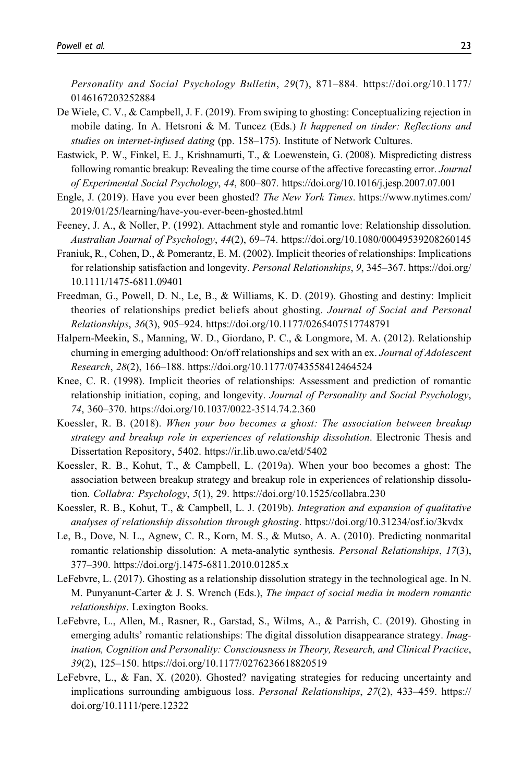Personality and Social Psychology Bulletin, 29(7), 871–884. [https://doi.org/10.1177/](https://doi.org/10.1177/0146167203252884) [0146167203252884](https://doi.org/10.1177/0146167203252884)

- De Wiele, C. V., & Campbell, J. F. (2019). From swiping to ghosting: Conceptualizing rejection in mobile dating. In A. Hetsroni & M. Tuncez (Eds.) It happened on tinder: Reflections and studies on internet-infused dating (pp. 158-175). Institute of Network Cultures.
- Eastwick, P. W., Finkel, E. J., Krishnamurti, T., & Loewenstein, G. (2008). Mispredicting distress following romantic breakup: Revealing the time course of the affective forecasting error. Journal of Experimental Social Psychology, 44, 800–807.<https://doi.org/10.1016/j.jesp.2007.07.001>
- Engle, J. (2019). Have you ever been ghosted? The New York Times. [https://www.nytimes.com/](https://www.nytimes.com/2019/01/25/learning/have-you-ever-been-ghosted.html) [2019/01/25/learning/have-you-ever-been-ghosted.html](https://www.nytimes.com/2019/01/25/learning/have-you-ever-been-ghosted.html)
- Feeney, J. A., & Noller, P. (1992). Attachment style and romantic love: Relationship dissolution. Australian Journal of Psychology, 44(2), 69–74.<https://doi.org/10.1080/00049539208260145>
- Franiuk, R., Cohen, D., & Pomerantz, E. M. (2002). Implicit theories of relationships: Implications for relationship satisfaction and longevity. Personal Relationships, 9, 345-367. [https://doi.org/](https://doi.org/10.1111/1475-6811.09401) [10.1111/1475-6811.09401](https://doi.org/10.1111/1475-6811.09401)
- Freedman, G., Powell, D. N., Le, B., & Williams, K. D. (2019). Ghosting and destiny: Implicit theories of relationships predict beliefs about ghosting. Journal of Social and Personal Relationships, 36(3), 905–924.<https://doi.org/10.1177/0265407517748791>
- Halpern-Meekin, S., Manning, W. D., Giordano, P. C., & Longmore, M. A. (2012). Relationship churning in emerging adulthood: On/off relationships and sex with an ex. Journal of Adolescent Research, 28(2), 166–188.<https://doi.org/10.1177/0743558412464524>
- Knee, C. R. (1998). Implicit theories of relationships: Assessment and prediction of romantic relationship initiation, coping, and longevity. Journal of Personality and Social Psychology, 74, 360–370.<https://doi.org/10.1037/0022-3514.74.2.360>
- Koessler, R. B. (2018). When your boo becomes a ghost: The association between breakup strategy and breakup role in experiences of relationship dissolution. Electronic Thesis and Dissertation Repository, 5402.<https://ir.lib.uwo.ca/etd/5402>
- Koessler, R. B., Kohut, T., & Campbell, L. (2019a). When your boo becomes a ghost: The association between breakup strategy and breakup role in experiences of relationship dissolution. Collabra: Psychology, 5(1), 29.<https://doi.org/10.1525/collabra.230>
- Koessler, R. B., Kohut, T., & Campbell, L. J. (2019b). Integration and expansion of qualitative analyses of relationship dissolution through ghosting.<https://doi.org/10.31234/osf.io/3kvdx>
- Le, B., Dove, N. L., Agnew, C. R., Korn, M. S., & Mutso, A. A. (2010). Predicting nonmarital romantic relationship dissolution: A meta-analytic synthesis. *Personal Relationships*, 17(3), 377–390.<https://doi.org/j.1475-6811.2010.01285.x>
- LeFebvre, L. (2017). Ghosting as a relationship dissolution strategy in the technological age. In N. M. Punyanunt-Carter & J. S. Wrench (Eds.), The impact of social media in modern romantic relationships. Lexington Books.
- LeFebvre, L., Allen, M., Rasner, R., Garstad, S., Wilms, A., & Parrish, C. (2019). Ghosting in emerging adults' romantic relationships: The digital dissolution disappearance strategy. Imagination, Cognition and Personality: Consciousness in Theory, Research, and Clinical Practice, 39(2), 125–150.<https://doi.org/10.1177/0276236618820519>
- LeFebvre, L., & Fan, X. (2020). Ghosted? navigating strategies for reducing uncertainty and implications surrounding ambiguous loss. Personal Relationships, 27(2), 433–459. [https://](https://doi.org/10.1111/pere.12322) [doi.org/10.1111/pere.12322](https://doi.org/10.1111/pere.12322)